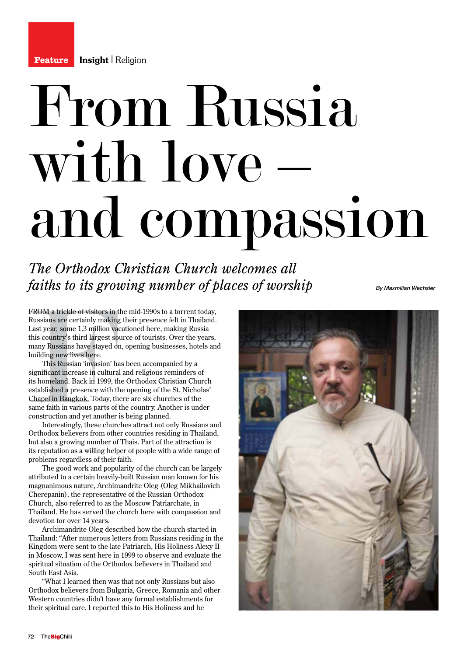## From Russia with love – and compassion

*The Orthodox Christian Church welcomes all faiths to its growing number of places of worship*

*By Maxmilian Wechsler*

FROM a trickle of visitors in the mid-1990s to a torrent today, Russians are certainly making their presence felt in Thailand. Last year, some 1.3 million vacationed here, making Russia this country's third largest source of tourists. Over the years, many Russians have stayed on, opening businesses, hotels and building new lives here.

FROM a trickle of visitors in<br>Russians are certainly makir<br>Last year, some 1.3 million v,<br>this country's third largest s<br>many Russians have stayed d<br>building new lives here.<br>This Russian 'invasion' i<br>significant increase i This Russian 'invasion' has been accompanied by a significant increase in cultural and religious reminders of its homeland. Back in 1999, the Orthodox Christian Church established a presence with the opening of the St. Nicholas' Chapel in Bangkok. Today, there are six churches of the same faith in various parts of the country. Another is under construction and yet another is being planned.

Interestingly, these churches attract not only Russians and Orthodox believers from other countries residing in Thailand, but also a growing number of Thais. Part of the attraction is its reputation as a willing helper of people with a wide range of problems regardless of their faith.

The good work and popularity of the church can be largely attributed to a certain heavily-built Russian man known for his magnanimous nature, Archimandrite Oleg (Oleg Mikhailovich Cherepanin), the representative of the Russian Orthodox Church, also referred to as the Moscow Patriarchate, in Thailand. He has served the church here with compassion and devotion for over 14 years.

Archimandrite Oleg described how the church started in Thailand: "After numerous letters from Russians residing in the Kingdom were sent to the late Patriarch, His Holiness Alexy II in Moscow, I was sent here in 1999 to observe and evaluate the spiritual situation of the Orthodox believers in Thailand and South East Asia.

"What I learned then was that not only Russians but also Orthodox believers from Bulgaria, Greece, Romania and other Western countries didn't have any formal establishments for their spiritual care. I reported this to His Holiness and he

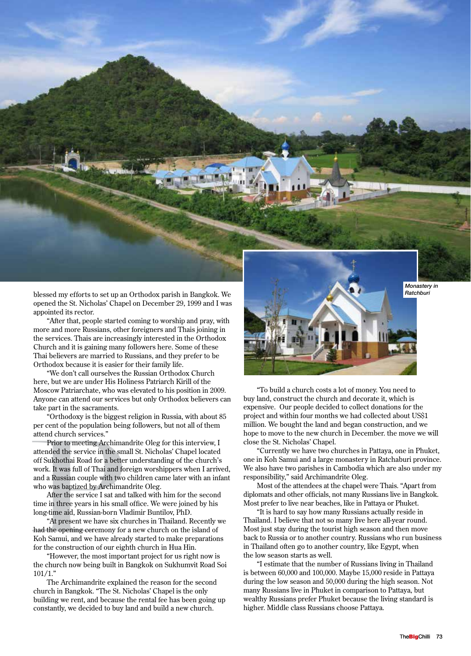

blessed my efforts to set up an Orthodox parish in Bangkok. We opened the St. Nicholas' Chapel on December 29, 1999 and I was appointed its rector.

"After that, people started coming to worship and pray, with more and more Russians, other foreigners and Thais joining in the services. Thais are increasingly interested in the Orthodox Church and it is gaining many followers here. Some of these Thai believers are married to Russians, and they prefer to be Orthodox because it is easier for their family life.

"We don't call ourselves the Russian Orthodox Church here, but we are under His Holiness Patriarch Kirill of the Moscow Patriarchate, who was elevated to his position in 2009. Anyone can attend our services but only Orthodox believers can take part in the sacraments.

"Orthodoxy is the biggest religion in Russia, with about 85 per cent of the population being followers, but not all of them attend church services."

per cent of the population be<br>attend church services."<br>Prior to meeting Archim<br>attended the service in the soff Sukhothai Road for a bett<br>work. It was full of Thai and<br>and a Russian couple with tw<br>who was baptized by Archi Prior to meeting Archimandrite Oleg for this interview, I attended the service in the small St. Nicholas' Chapel located off Sukhothai Road for a better understanding of the church's work. It was full of Thai and foreign worshippers when I arrived, and a Russian couple with two children came later with an infant who was baptized by Archimandrite Oleg.

After the service I sat and talked with him for the second time in three years in his small office. We were joined by his long-time aid, Russian-born Vladimir Buntilov, PhD.

"At present we have six churches in Thailand. Recently we had the opening ceremony for a new church on the island of Koh Samui, and we have already started to make preparations for the construction of our eighth church in Hua Hin.

"However, the most important project for us right now is the church now being built in Bangkok on Sukhumvit Road Soi  $101/1.$ "

The Archimandrite explained the reason for the second church in Bangkok. "The St. Nicholas' Chapel is the only building we rent, and because the rental fee has been going up constantly, we decided to buy land and build a new church.



"To build a church costs a lot of money. You need to buy land, construct the church and decorate it, which is expensive. Our people decided to collect donations for the project and within four months we had collected about US\$1 million. We bought the land and began construction, and we hope to move to the new church in December. the move we will close the St. Nicholas' Chapel.

"Currently we have two churches in Pattaya, one in Phuket, one in Koh Samui and a large monastery in Ratchaburi province. We also have two parishes in Cambodia which are also under my responsibility," said Archimandrite Oleg.

Most of the attendees at the chapel were Thais. "Apart from diplomats and other officials, not many Russians live in Bangkok. Most prefer to live near beaches, like in Pattaya or Phuket.

"It is hard to say how many Russians actually reside in Thailand. I believe that not so many live here all-year round. Most just stay during the tourist high season and then move back to Russia or to another country. Russians who run business in Thailand often go to another country, like Egypt, when the low season starts as well.

"I estimate that the number of Russians living in Thailand is between 60,000 and 100,000. Maybe 15,000 reside in Pattaya during the low season and 50,000 during the high season. Not many Russians live in Phuket in comparison to Pattaya, but wealthy Russians prefer Phuket because the living standard is higher. Middle class Russians choose Pattaya.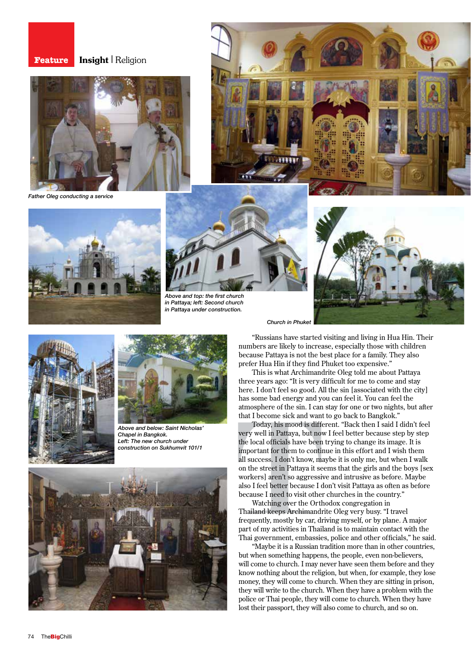## **Feature Insight** | Religion



*Father Oleg conducting a service*





*Above and top: the first church in Pattaya; left: Second church in Pattaya under construction.*









*Above and below: Saint Nicholas' Chapel in Bangkok. Left: The new church under construction on Sukhumvit 101/1*



"Russians have started visiting and living in Hua Hin. Their numbers are likely to increase, especially those with children because Pattaya is not the best place for a family. They also prefer Hua Hin if they find Phuket too expensive."

This is what Archimandrite Oleg told me about Pattaya three years ago: "It is very difficult for me to come and stay here. I don't feel so good. All the sin [associated with the city] has some bad energy and you can feel it. You can feel the atmosphere of the sin. I can stay for one or two nights, but after that I become sick and want to go back to Bangkok."

atmosphere of the sin. I can<br>that I become sick and wan<br>Today, his mood is diff<br>very well in Pattaya, but no<br>the local officials have been<br>important for them to conti<br>all success. I don't know, m<br>on the street in Pattaya i Today, his mood is different. "Back then I said I didn't feel very well in Pattaya, but now I feel better because step by step the local officials have been trying to change its image. It is important for them to continue in this effort and I wish them all success. I don't know, maybe it is only me, but when I walk on the street in Pattaya it seems that the girls and the boys [sex workers] aren't so aggressive and intrusive as before. Maybe also I feel better because I don't visit Pattaya as often as before because I need to visit other churches in the country."

Watching over the Orthodox congregation in Thailand keeps Archimandrite Oleg very busy. "I travel frequently, mostly by car, driving myself, or by plane. A major part of my activities in Thailand is to maintain contact with the Thai government, embassies, police and other officials," he said.

"Maybe it is a Russian tradition more than in other countries, but when something happens, the people, even non-believers, will come to church. I may never have seen them before and they know nothing about the religion, but when, for example, they lose money, they will come to church. When they are sitting in prison, they will write to the church. When they have a problem with the police or Thai people, they will come to church. When they have lost their passport, they will also come to church, and so on.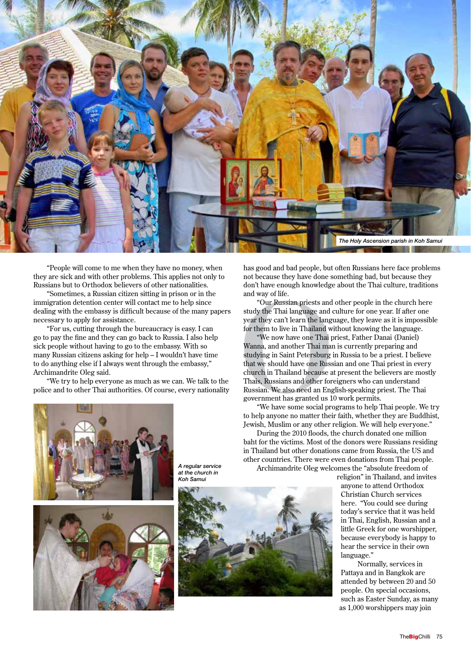

"People will come to me when they have no money, when they are sick and with other problems. This applies not only to Russians but to Orthodox believers of other nationalities.

"Sometimes, a Russian citizen sitting in prison or in the immigration detention center will contact me to help since dealing with the embassy is difficult because of the many papers necessary to apply for assistance.

"For us, cutting through the bureaucracy is easy. I can go to pay the fine and they can go back to Russia. I also help sick people without having to go to the embassy. With so many Russian citizens asking for help – I wouldn't have time to do anything else if I always went through the embassy," Archimandrite Oleg said.

"We try to help everyone as much as we can. We talk to the police and to other Thai authorities. Of course, every nationality

*A regular service at the church in Koh Samui*





has good and bad people, but often Russians here face problems not because they have done something bad, but because they don't have enough knowledge about the Thai culture, traditions and way of life.

"Our Russian priests and other people in the church here study the Thai language and culture for one year. If after one year they can't learn the language, they leave as it is impossible for them to live in Thailand without knowing the language.

don't have enough knowledg<br>and way of life.<br>"Our Russian priests an<br>study the Thai language and<br>year they can't learn the lang<br>for them to live in Thailand<br>"We now have one Thai<br>Wanna, and another Thai ma<br>studying in Saint "We now have one Thai priest, Father Danai (Daniel) Wanna, and another Thai man is currently preparing and studying in Saint Petersburg in Russia to be a priest. I believe that we should have one Russian and one Thai priest in every church in Thailand because at present the believers are mostly Thais, Russians and other foreigners who can understand Russian. We also need an English-speaking priest. The Thai government has granted us 10 work permits.

"We have some social programs to help Thai people. We try to help anyone no matter their faith, whether they are Buddhist, Jewish, Muslim or any other religion. We will help everyone."

During the 2010 floods, the church donated one million baht for the victims. Most of the donors were Russians residing in Thailand but other donations came from Russia, the US and other countries. There were even donations from Thai people.

Archimandrite Oleg welcomes the "absolute freedom of

religion" in Thailand, and invites anyone to attend Orthodox Christian Church services here. "You could see during today's service that it was held in Thai, English, Russian and a little Greek for one worshipper, because everybody is happy to hear the service in their own language."

Normally, services in Pattaya and in Bangkok are attended by between 20 and 50 people. On special occasions, such as Easter Sunday, as many as 1,000 worshippers may join